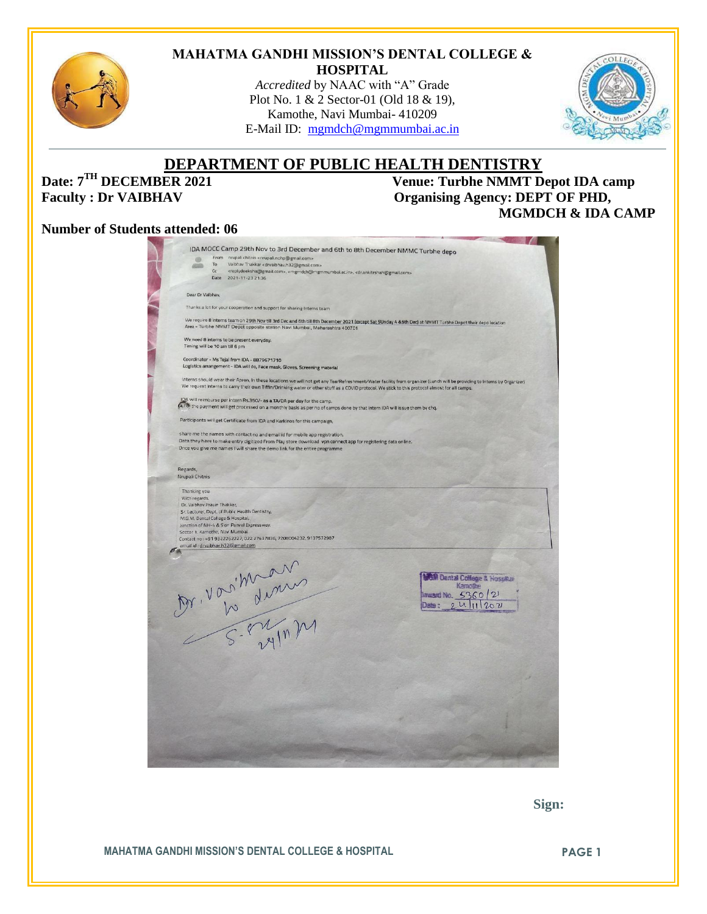

#### **MAHATMA GANDHI MISSION'S DENTAL COLLEGE & HOSPITAL**

*Accredited* by NAAC with "A" Grade Plot No. 1 & 2 Sector-01 (Old 18 & 19), Kamothe, Navi Mumbai- 410209 E-Mail ID: [mgmdch@mgmmumbai.ac.in](mailto:mgmdch@mgmmumbai.ac.in)



# **DEPARTMENT OF PUBLIC HEALTH DENTISTRY**<br>Venue: Turbhe NMMT D

**Date:**  $7^{TH}$  **DECEMBER 2021** Venue: Turbhe NMMT Depot IDA camp<br>Faculty : Dr VAIBHAV Organising Agency: DEPT OF PHD, **Organising Agency: DEPT OF PHD, MGMDCH & IDA CAMP** 

#### **Number of Students attended: 06**

|                             | IDA MOCC Camp 29th Nov to 3rd December and 6th to 8th December NMMC Turbhe depo<br>From nrupali chitnis <nrupali.nohp@gmail.com></nrupali.nohp@gmail.com>                                                                                                                                                                  |
|-----------------------------|----------------------------------------------------------------------------------------------------------------------------------------------------------------------------------------------------------------------------------------------------------------------------------------------------------------------------|
|                             | To<br>Vaibhav Thakkar <drvaibhav.h32@gmail.com><br/>Cc<br/><replydeeksha@gmail.com>, <mgmdch@mgmmumbai.ac.in>, <dr.ankitrshah@gmail.com></dr.ankitrshah@gmail.com></mgmdch@mgmmumbai.ac.in></replydeeksha@gmail.com></drvaibhav.h32@gmail.com>                                                                             |
|                             | Date<br>2021-11-23 21:36                                                                                                                                                                                                                                                                                                   |
| Dear Dr Valbhav,            |                                                                                                                                                                                                                                                                                                                            |
|                             | Thanks a lot for your cooperation and support for sharing Interns team                                                                                                                                                                                                                                                     |
|                             | We require 8 Interns team on 29th Nov till 3rd Dec and 6th till 8th December 2021 (except Sat SUnday 4 &5th Dec) at NMMT Turbhe Depot their depo location<br>Area - Turbhe NMMT Depot opposite station Navi Mumbai, Maharashtra 400701                                                                                     |
|                             | We need 8 interns to be present everyday.<br>Timing will be 10 am till 6 pm                                                                                                                                                                                                                                                |
|                             | Coordinator - Ms Tejal from IDA - 8879671710                                                                                                                                                                                                                                                                               |
|                             | Logistics arrangement - IDA will do, Face mask, Gloves, Screening material                                                                                                                                                                                                                                                 |
|                             | Interns should wear their Apron, In these locations we will not get any Tea/Refreshment/Water facility from organizer (Lunch will be providing to Interns by Organizer)<br>We request Interns to carry their own Tiffin/Drinking water or other stuff as a COVID protocol. We stick to this protocol almost for all camps. |
|                             | IDA will reimburse per intern Rs.350/- as a TA/DA per day for the camp.<br>(a,Fo) the payment will get processed on a monthly basis as per no of camps done by that intern IDA will issue them by chq.                                                                                                                     |
|                             | Participants will get Certificate from IDA and Karkinos for this campaign,                                                                                                                                                                                                                                                 |
|                             | share me the names with contact no and email id for mobile app registration.                                                                                                                                                                                                                                               |
|                             | Data they have to make entry digitized From Play store download vpn connect app for registering data online.<br>Once you give me names I will share the demo link for the entire programme                                                                                                                                 |
|                             |                                                                                                                                                                                                                                                                                                                            |
| Regards,<br>Nrupali Chitnis |                                                                                                                                                                                                                                                                                                                            |
| Thanking you.               |                                                                                                                                                                                                                                                                                                                            |
| With regards.               |                                                                                                                                                                                                                                                                                                                            |
| Dr. Vaibhav Pravin Thakkar, |                                                                                                                                                                                                                                                                                                                            |
|                             | Sr. Lecturer, Dept. of Public Health Dentistry,<br>M.G.M. Dental College & Hospital,                                                                                                                                                                                                                                       |
|                             | Junction of NH-4 & Sion Panvel Expressway,                                                                                                                                                                                                                                                                                 |
|                             | Sector 1, Kamothe, Navi Mumbai.                                                                                                                                                                                                                                                                                            |
|                             | Contact no: +91 9322262227, 022 27437836, 7208004232, 9137572987<br>email id : drvaibhav.h32@gmail.com                                                                                                                                                                                                                     |
|                             |                                                                                                                                                                                                                                                                                                                            |
|                             |                                                                                                                                                                                                                                                                                                                            |
|                             |                                                                                                                                                                                                                                                                                                                            |
|                             | <b>GM Dental College &amp; Hospitan</b>                                                                                                                                                                                                                                                                                    |
|                             | Kamothe                                                                                                                                                                                                                                                                                                                    |
|                             | Inward No. 5360 21                                                                                                                                                                                                                                                                                                         |
|                             | $\mathfrak{u}$<br>11202<br>Date :                                                                                                                                                                                                                                                                                          |
|                             |                                                                                                                                                                                                                                                                                                                            |
|                             | Ar. Von Warns                                                                                                                                                                                                                                                                                                              |
|                             |                                                                                                                                                                                                                                                                                                                            |
|                             |                                                                                                                                                                                                                                                                                                                            |
|                             |                                                                                                                                                                                                                                                                                                                            |
|                             |                                                                                                                                                                                                                                                                                                                            |
|                             |                                                                                                                                                                                                                                                                                                                            |
|                             |                                                                                                                                                                                                                                                                                                                            |
|                             |                                                                                                                                                                                                                                                                                                                            |
|                             |                                                                                                                                                                                                                                                                                                                            |
|                             |                                                                                                                                                                                                                                                                                                                            |
|                             |                                                                                                                                                                                                                                                                                                                            |
|                             |                                                                                                                                                                                                                                                                                                                            |
|                             |                                                                                                                                                                                                                                                                                                                            |
|                             |                                                                                                                                                                                                                                                                                                                            |
|                             |                                                                                                                                                                                                                                                                                                                            |

 **Sign:**

**MAHATMA GANDHI MISSION'S DENTAL COLLEGE & HOSPITAL PAGE 1**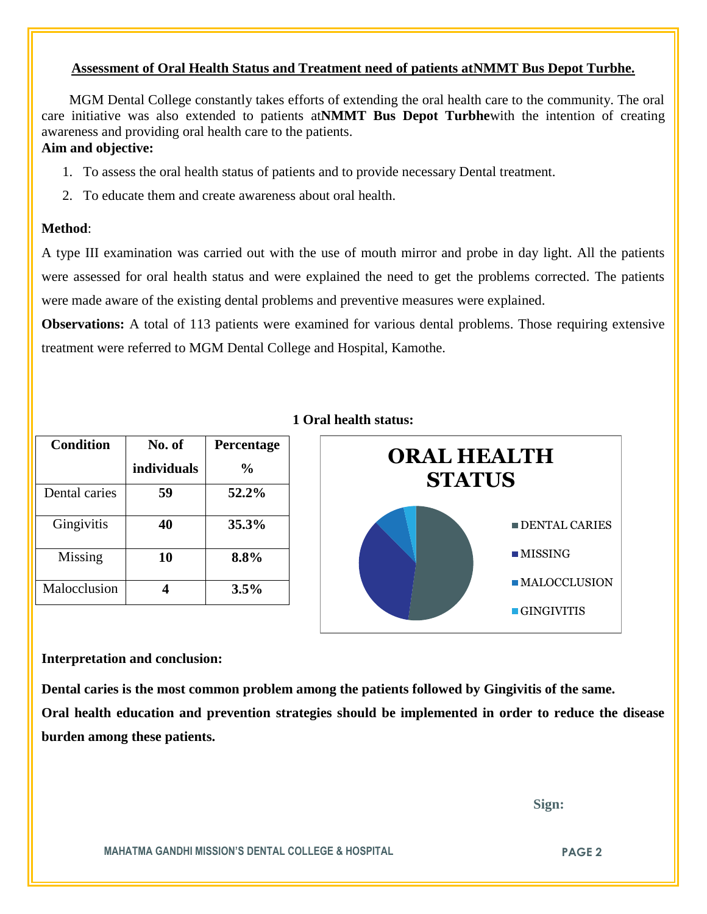#### **Assessment of Oral Health Status and Treatment need of patients atNMMT Bus Depot Turbhe.**

 MGM Dental College constantly takes efforts of extending the oral health care to the community. The oral care initiative was also extended to patients at**NMMT Bus Depot Turbhe**with the intention of creating awareness and providing oral health care to the patients.

### **Aim and objective:**

- 1. To assess the oral health status of patients and to provide necessary Dental treatment.
- 2. To educate them and create awareness about oral health.

#### **Method**:

A type III examination was carried out with the use of mouth mirror and probe in day light. All the patients were assessed for oral health status and were explained the need to get the problems corrected. The patients were made aware of the existing dental problems and preventive measures were explained.

**Observations:** A total of 113 patients were examined for various dental problems. Those requiring extensive treatment were referred to MGM Dental College and Hospital, Kamothe.

| <b>Condition</b> | No. of<br>individuals   | Percentage<br>$\frac{0}{0}$ | <b>ORAL HEALTH</b><br><b>STATUS</b> |
|------------------|-------------------------|-----------------------------|-------------------------------------|
| Dental caries    | 59                      | 52.2%                       |                                     |
| Gingivitis       | 40                      | 35.3%                       | <b>DENTAL CARIES</b>                |
| <b>Missing</b>   | 10                      | 8.8%                        | $\blacksquare$ MISSING              |
| Malocclusion     | $\overline{\mathbf{4}}$ | 3.5%                        | $\blacksquare$ MALOCCLUSION         |
|                  |                         |                             | $\blacksquare$ GINGIVITIS           |

## **1 Oral health status:**

#### **Interpretation and conclusion:**

**Dental caries is the most common problem among the patients followed by Gingivitis of the same. Oral health education and prevention strategies should be implemented in order to reduce the disease burden among these patients.**

 **Sign:**

**MAHATMA GANDHI MISSION'S DENTAL COLLEGE & HOSPITAL PAGE 2**